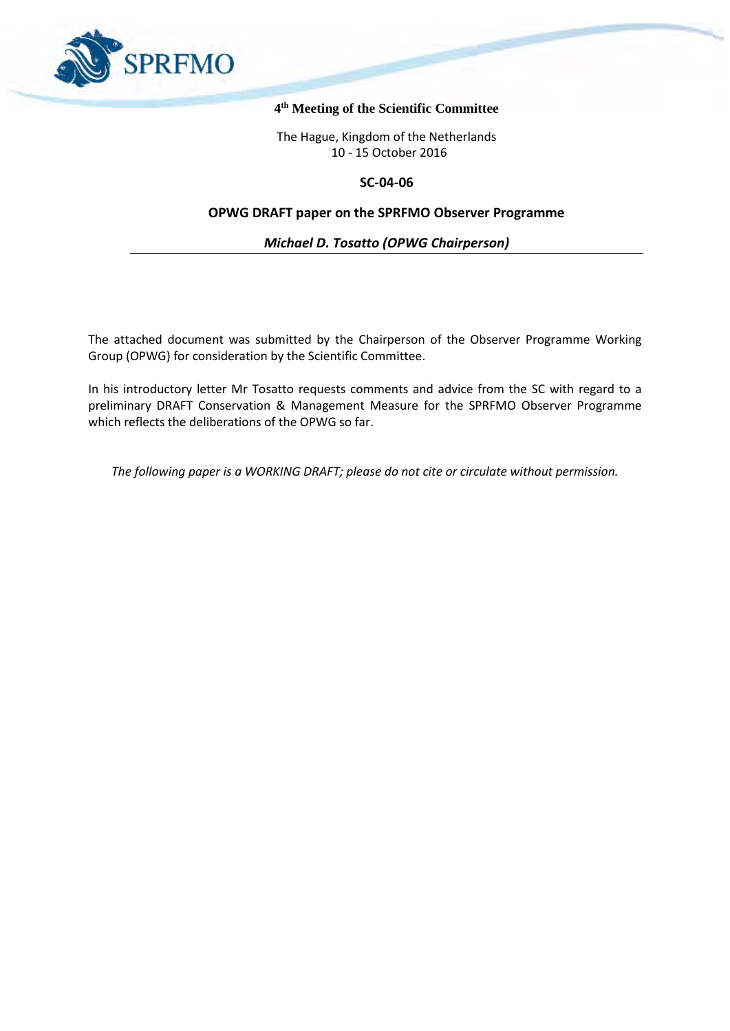

#### **4 th Meeting of the Scientific Committee**

The Hague, Kingdom of the Netherlands 10 - 15 October 2016

#### **SC-04-06**

## **OPWG DRAFT paper on the SPRFMO Observer Programme**

*Michael D. Tosatto (OPWG Chairperson)*

The attached document was submitted by the Chairperson of the Observer Programme Working Group (OPWG) for consideration by the Scientific Committee.

In his introductory letter Mr Tosatto requests comments and advice from the SC with regard to a preliminary DRAFT Conservation & Management Measure for the SPRFMO Observer Programme which reflects the deliberations of the OPWG so far.

*The following paper is a WORKING DRAFT; please do not cite or circulate without permission.*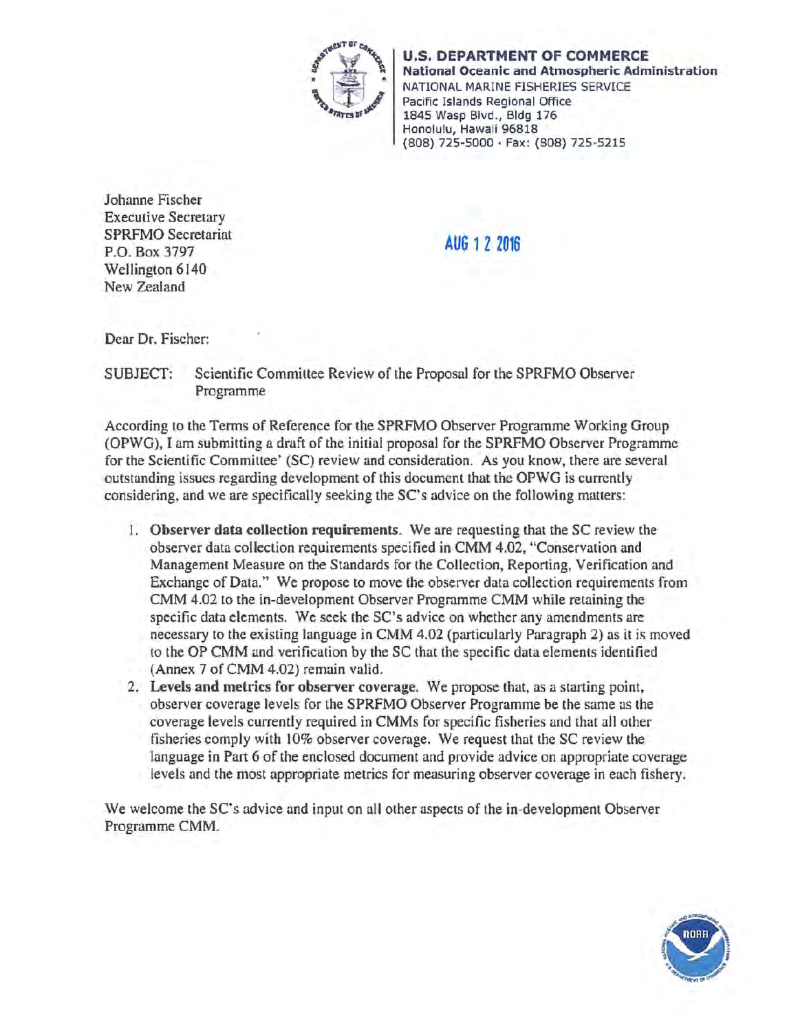

U.S. DEPARTMENT OF COMMERCE National Oceanic and Atmospheric Administration NATIONAL MARINE FISHERIES SERVICE Pacific Islands Regional Office 1845 Wasp Blvd., Bldg 176 Honolulu, Hawaii 96818 (808) 725-5000 • fax: {808) <sup>725</sup> <sup>5215</sup>

Johanne Fischer Executive Secretary SPRFMO Secretariat P.O. Box 3797 Wellington 6140 New Zealand

AUG 1 2 2016

Dear Dr. Fischer:

SUBJECT: Scientific Committee Review of the Proposal for the SPRFMO Observer Programme

According lo the Terms of Reference for the SPRFMO Observer Programme Working Group (OPWG), I am submitting a draft of the initial proposal for the SPRFMO Observer Programme for the Scientific Committee' (SC) review and consideration. As you know, there are several outstanding issues regarding development of this document that the OPWG is currently considering, and we are specifically seeking the SC's advice on the following matters:

- 1. Observer data collection requirements. We are requesting that the SC review the observer data collection requirements specified in CMM 4.02, "Conservation and Management Measure on the Standards for the Collection, Reporting, Verification and Exchange of Data." We propose to move the observer data collection requirements from CMM 4.02 to the in-development Observer Programme CMM while retaining the specific data elements. We seek the SC's advice on whether any amendments are necessary to the existing language in CMM 4.02 (particularly Paragraph 2) as it is moved to the OP CMM and verification by the SC that the specific data elements identified (Annex 7 of CMM 4.02) remain valid.
- 2. Levels and metrics for observer coverage. We propose that, as a starting point, observer coverage levels for the SPRFMO Observer Programme be the same as the coverage levels currently required in CMMs for specific fisheries and that all other fisheries comply with 10% observer coverage. We request that the SC review the language in Part 6 of the enclosed document and provide advice on appropriate coverage levels and the most appropriate metrics for measuring observer coverage in each fishery.

We welcome the SC's advice and input on all other aspects of the in-development Observer Programme CMM.

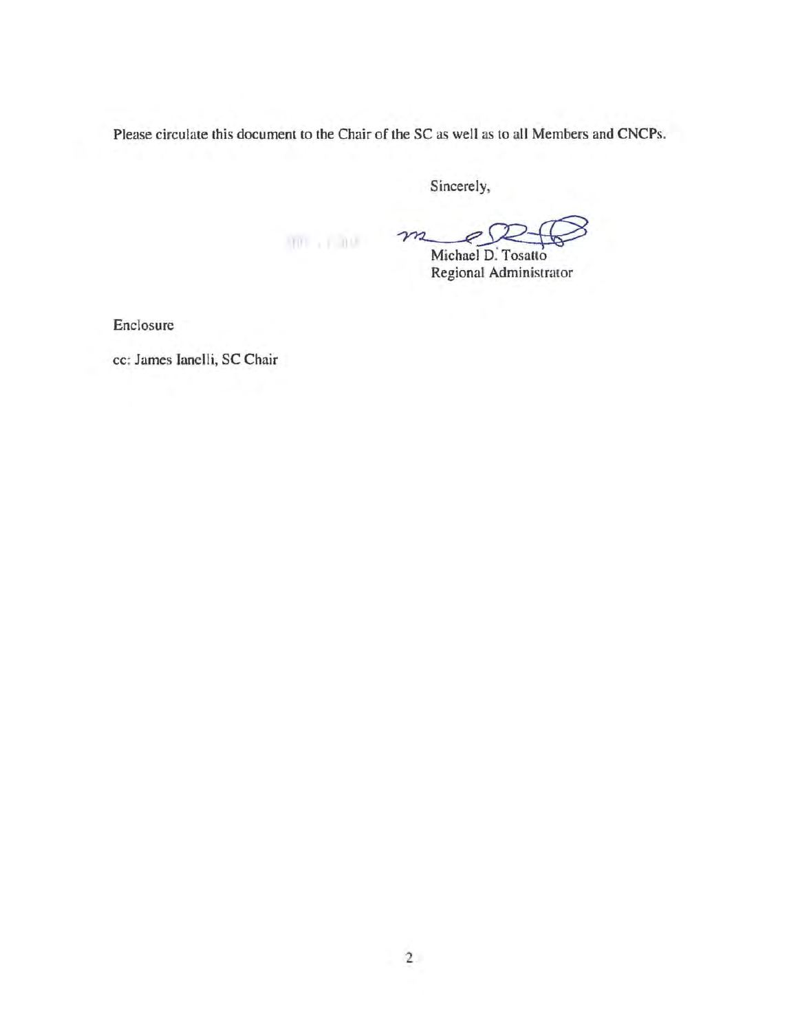Please circulate this document to the Chair of the SC as well as to all Members and CNCPs.

Sincerely,

 $m_{\ell}$ 

ichael D. Tosatto Regional Administrator

Enclosure

cc: James Ianelli, SC Chair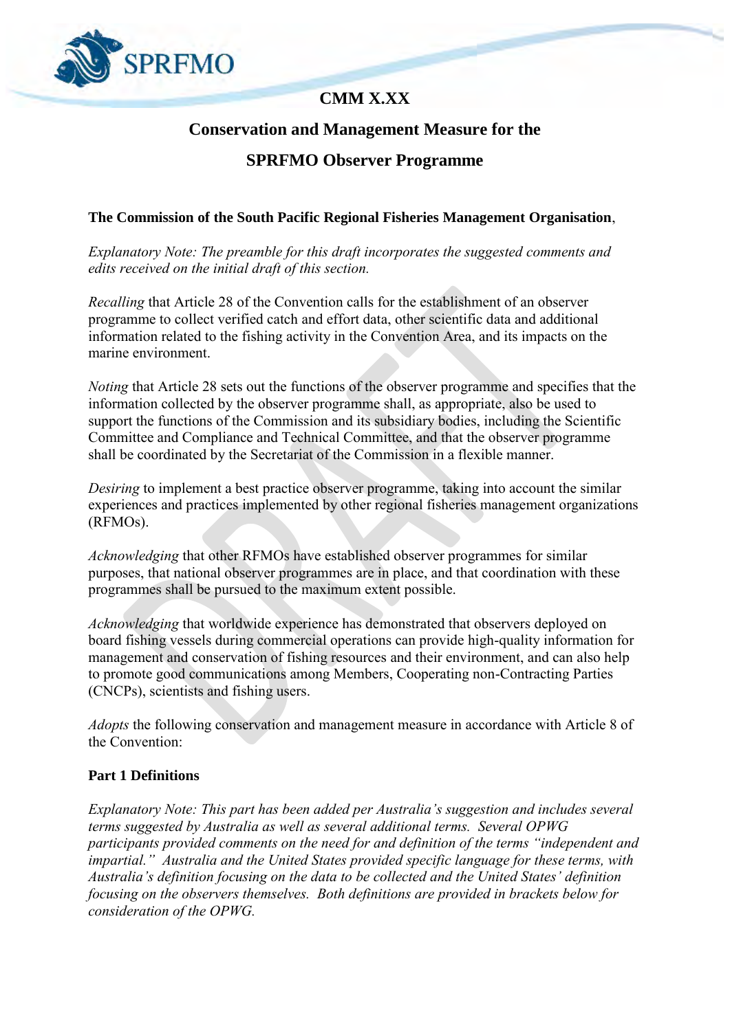

# **CMM X.XX**

## **Conservation and Management Measure for the**

## **SPRFMO Observer Programme**

## **The Commission of the South Pacific Regional Fisheries Management Organisation**,

*Explanatory Note: The preamble for this draft incorporates the suggested comments and edits received on the initial draft of this section.*

*Recalling* that Article 28 of the Convention calls for the establishment of an observer programme to collect verified catch and effort data, other scientific data and additional information related to the fishing activity in the Convention Area, and its impacts on the marine environment.

*Noting* that Article 28 sets out the functions of the observer programme and specifies that the information collected by the observer programme shall, as appropriate, also be used to support the functions of the Commission and its subsidiary bodies, including the Scientific Committee and Compliance and Technical Committee, and that the observer programme shall be coordinated by the Secretariat of the Commission in a flexible manner.

*Desiring* to implement a best practice observer programme, taking into account the similar experiences and practices implemented by other regional fisheries management organizations (RFMOs).

*Acknowledging* that other RFMOs have established observer programmes for similar purposes, that national observer programmes are in place, and that coordination with these programmes shall be pursued to the maximum extent possible.

*Acknowledging* that worldwide experience has demonstrated that observers deployed on board fishing vessels during commercial operations can provide high-quality information for management and conservation of fishing resources and their environment, and can also help to promote good communications among Members, Cooperating non-Contracting Parties (CNCPs), scientists and fishing users.

*Adopts* the following conservation and management measure in accordance with Article 8 of the Convention:

## **Part 1 Definitions**

*Explanatory Note: This part has been added per Australia's suggestion and includes several terms suggested by Australia as well as several additional terms. Several OPWG participants provided comments on the need for and definition of the terms "independent and impartial." Australia and the United States provided specific language for these terms, with Australia's definition focusing on the data to be collected and the United States' definition focusing on the observers themselves. Both definitions are provided in brackets below for consideration of the OPWG.*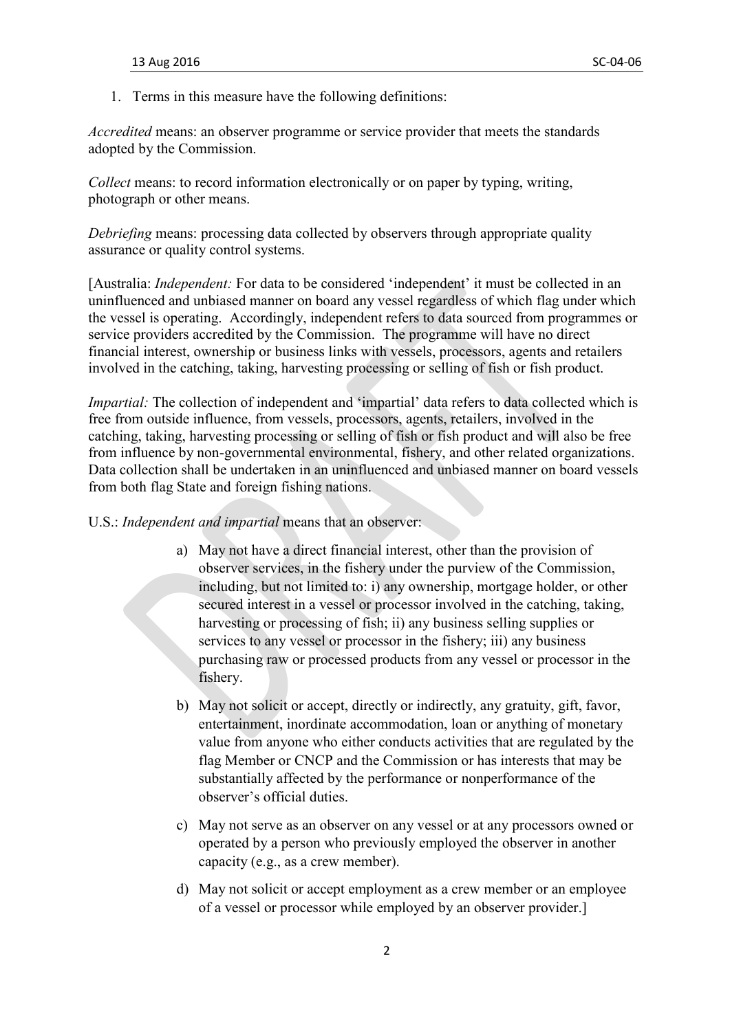1. Terms in this measure have the following definitions:

*Accredited* means: an observer programme or service provider that meets the standards adopted by the Commission.

*Collect* means: to record information electronically or on paper by typing, writing, photograph or other means.

*Debriefing* means: processing data collected by observers through appropriate quality assurance or quality control systems.

[Australia: *Independent:* For data to be considered 'independent' it must be collected in an uninfluenced and unbiased manner on board any vessel regardless of which flag under which the vessel is operating. Accordingly, independent refers to data sourced from programmes or service providers accredited by the Commission. The programme will have no direct financial interest, ownership or business links with vessels, processors, agents and retailers involved in the catching, taking, harvesting processing or selling of fish or fish product.

*Impartial:* The collection of independent and 'impartial' data refers to data collected which is free from outside influence, from vessels, processors, agents, retailers, involved in the catching, taking, harvesting processing or selling of fish or fish product and will also be free from influence by non-governmental environmental, fishery, and other related organizations. Data collection shall be undertaken in an uninfluenced and unbiased manner on board vessels from both flag State and foreign fishing nations.

- U.S.: *Independent and impartial* means that an observer:
	- a) May not have a direct financial interest, other than the provision of observer services, in the fishery under the purview of the Commission, including, but not limited to: i) any ownership, mortgage holder, or other secured interest in a vessel or processor involved in the catching, taking, harvesting or processing of fish; ii) any business selling supplies or services to any vessel or processor in the fishery; iii) any business purchasing raw or processed products from any vessel or processor in the fishery.
	- b) May not solicit or accept, directly or indirectly, any gratuity, gift, favor, entertainment, inordinate accommodation, loan or anything of monetary value from anyone who either conducts activities that are regulated by the flag Member or CNCP and the Commission or has interests that may be substantially affected by the performance or nonperformance of the observer's official duties.
	- c) May not serve as an observer on any vessel or at any processors owned or operated by a person who previously employed the observer in another capacity (e.g., as a crew member).
	- d) May not solicit or accept employment as a crew member or an employee of a vessel or processor while employed by an observer provider.]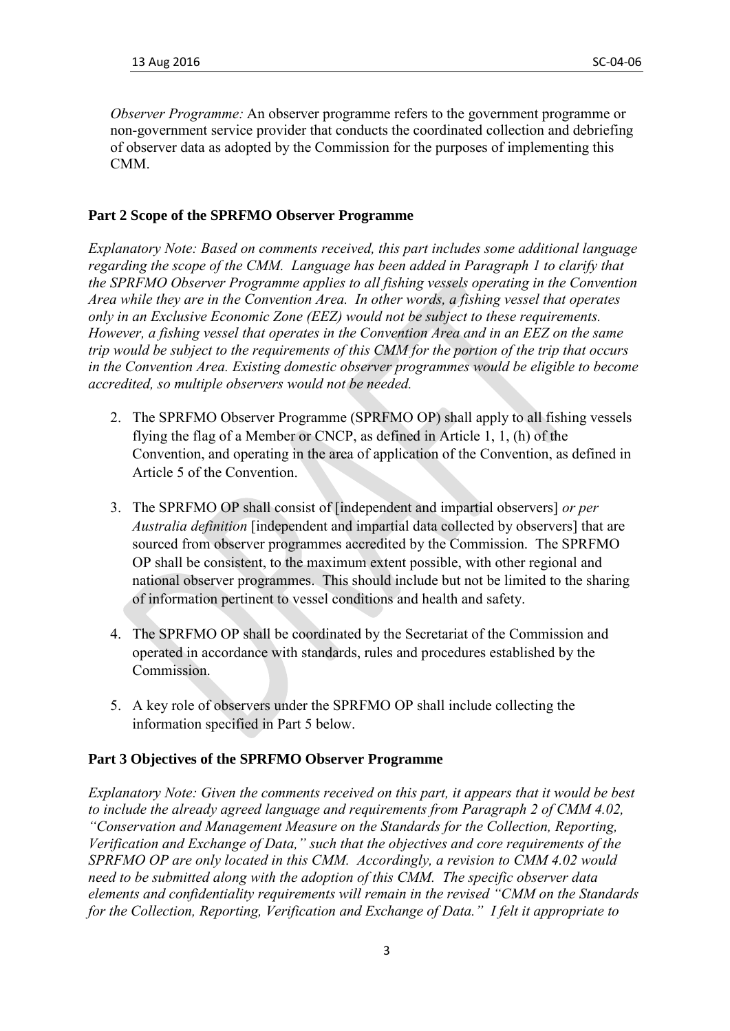*Observer Programme:* An observer programme refers to the government programme or non-government service provider that conducts the coordinated collection and debriefing of observer data as adopted by the Commission for the purposes of implementing this CMM.

#### **Part 2 Scope of the SPRFMO Observer Programme**

*Explanatory Note: Based on comments received, this part includes some additional language regarding the scope of the CMM. Language has been added in Paragraph 1 to clarify that the SPRFMO Observer Programme applies to all fishing vessels operating in the Convention Area while they are in the Convention Area. In other words, a fishing vessel that operates only in an Exclusive Economic Zone (EEZ) would not be subject to these requirements. However, a fishing vessel that operates in the Convention Area and in an EEZ on the same trip would be subject to the requirements of this CMM for the portion of the trip that occurs in the Convention Area. Existing domestic observer programmes would be eligible to become accredited, so multiple observers would not be needed.*

- 2. The SPRFMO Observer Programme (SPRFMO OP) shall apply to all fishing vessels flying the flag of a Member or CNCP, as defined in Article 1, 1, (h) of the Convention, and operating in the area of application of the Convention, as defined in Article 5 of the Convention.
- 3. The SPRFMO OP shall consist of [independent and impartial observers] *or per Australia definition* [independent and impartial data collected by observers] that are sourced from observer programmes accredited by the Commission. The SPRFMO OP shall be consistent, to the maximum extent possible, with other regional and national observer programmes. This should include but not be limited to the sharing of information pertinent to vessel conditions and health and safety.
- 4. The SPRFMO OP shall be coordinated by the Secretariat of the Commission and operated in accordance with standards, rules and procedures established by the Commission.
- 5. A key role of observers under the SPRFMO OP shall include collecting the information specified in Part 5 below.

#### **Part 3 Objectives of the SPRFMO Observer Programme**

*Explanatory Note: Given the comments received on this part, it appears that it would be best to include the already agreed language and requirements from Paragraph 2 of CMM 4.02, "Conservation and Management Measure on the Standards for the Collection, Reporting, Verification and Exchange of Data," such that the objectives and core requirements of the SPRFMO OP are only located in this CMM. Accordingly, a revision to CMM 4.02 would need to be submitted along with the adoption of this CMM. The specific observer data elements and confidentiality requirements will remain in the revised "CMM on the Standards for the Collection, Reporting, Verification and Exchange of Data." I felt it appropriate to*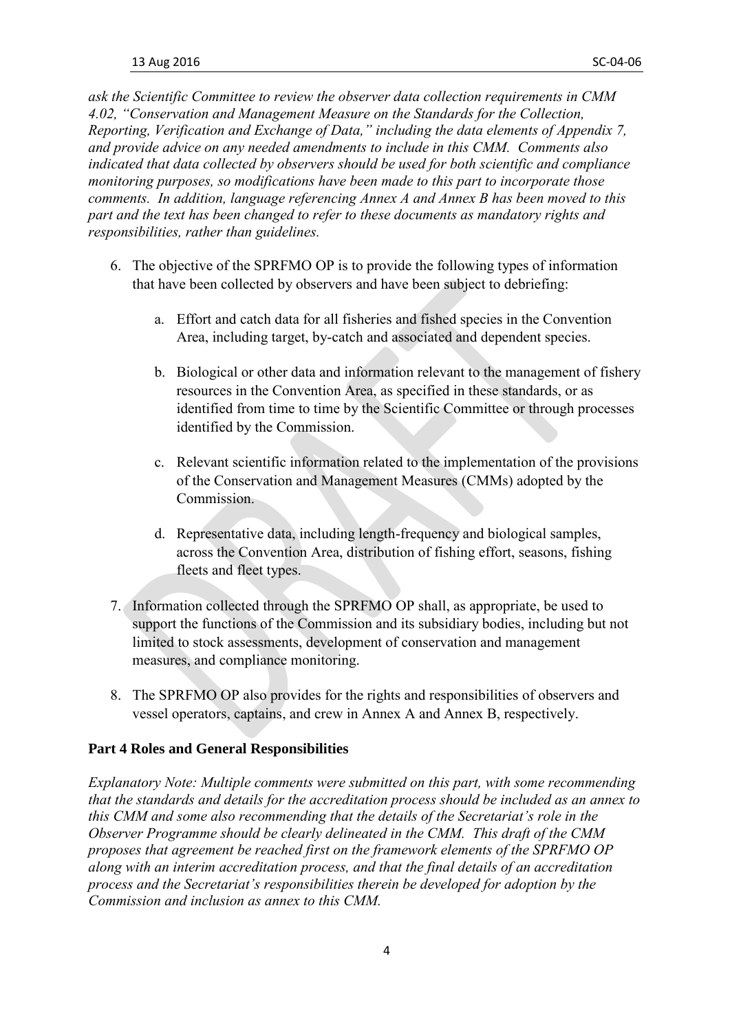*ask the Scientific Committee to review the observer data collection requirements in CMM 4.02, "Conservation and Management Measure on the Standards for the Collection, Reporting, Verification and Exchange of Data," including the data elements of Appendix 7, and provide advice on any needed amendments to include in this CMM. Comments also indicated that data collected by observers should be used for both scientific and compliance monitoring purposes, so modifications have been made to this part to incorporate those comments. In addition, language referencing Annex A and Annex B has been moved to this part and the text has been changed to refer to these documents as mandatory rights and responsibilities, rather than guidelines.*

- 6. The objective of the SPRFMO OP is to provide the following types of information that have been collected by observers and have been subject to debriefing:
	- a. Effort and catch data for all fisheries and fished species in the Convention Area, including target, by-catch and associated and dependent species.
	- b. Biological or other data and information relevant to the management of fishery resources in the Convention Area, as specified in these standards, or as identified from time to time by the Scientific Committee or through processes identified by the Commission.
	- c. Relevant scientific information related to the implementation of the provisions of the Conservation and Management Measures (CMMs) adopted by the Commission.
	- d. Representative data, including length-frequency and biological samples, across the Convention Area, distribution of fishing effort, seasons, fishing fleets and fleet types.
- 7. Information collected through the SPRFMO OP shall, as appropriate, be used to support the functions of the Commission and its subsidiary bodies, including but not limited to stock assessments, development of conservation and management measures, and compliance monitoring.
- 8. The SPRFMO OP also provides for the rights and responsibilities of observers and vessel operators, captains, and crew in Annex A and Annex B, respectively.

### **Part 4 Roles and General Responsibilities**

*Explanatory Note: Multiple comments were submitted on this part, with some recommending that the standards and details for the accreditation process should be included as an annex to this CMM and some also recommending that the details of the Secretariat's role in the Observer Programme should be clearly delineated in the CMM. This draft of the CMM proposes that agreement be reached first on the framework elements of the SPRFMO OP along with an interim accreditation process, and that the final details of an accreditation process and the Secretariat's responsibilities therein be developed for adoption by the Commission and inclusion as annex to this CMM.*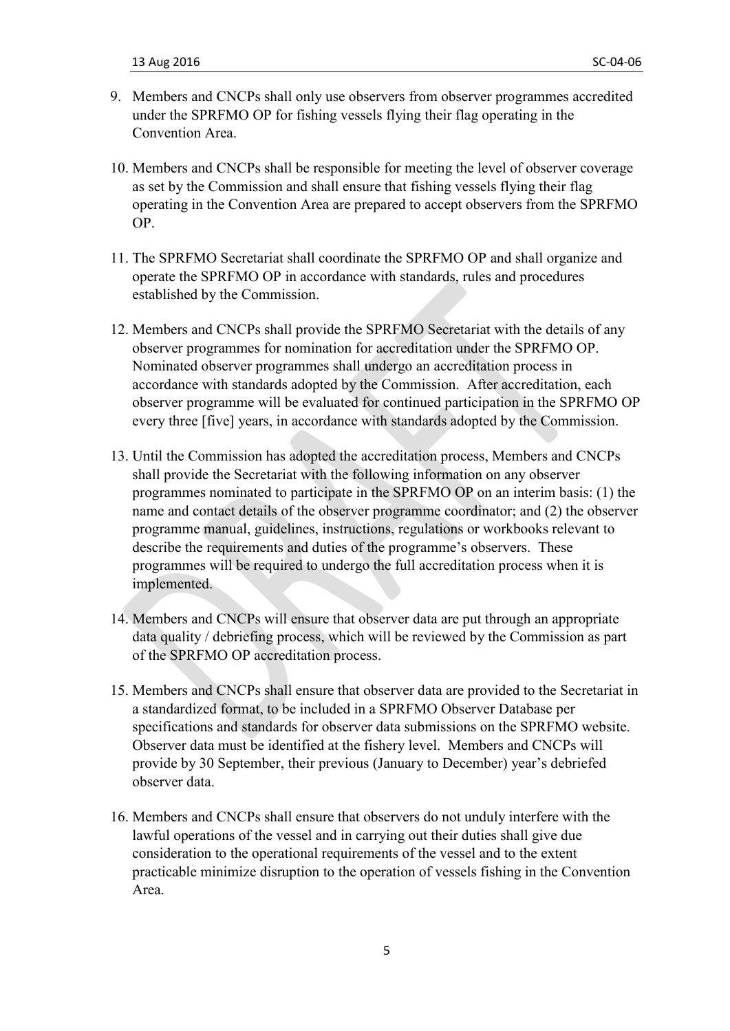- 9. Members and CNCPs shall only use observers from observer programmes accredited under the SPRFMO OP for fishing vessels flying their flag operating in the Convention Area.
- 10. Members and CNCPs shall be responsible for meeting the level of observer coverage as set by the Commission and shall ensure that fishing vessels flying their flag operating in the Convention Area are prepared to accept observers from the SPRFMO OP.
- 11. The SPRFMO Secretariat shall coordinate the SPRFMO OP and shall organize and operate the SPRFMO OP in accordance with standards, rules and procedures established by the Commission.
- 12. Members and CNCPs shall provide the SPRFMO Secretariat with the details of any observer programmes for nomination for accreditation under the SPRFMO OP. Nominated observer programmes shall undergo an accreditation process in accordance with standards adopted by the Commission. After accreditation, each observer programme will be evaluated for continued participation in the SPRFMO OP every three [five] years, in accordance with standards adopted by the Commission.
- 13. Until the Commission has adopted the accreditation process, Members and CNCPs shall provide the Secretariat with the following information on any observer programmes nominated to participate in the SPRFMO OP on an interim basis: (1) the name and contact details of the observer programme coordinator; and (2) the observer programme manual, guidelines, instructions, regulations or workbooks relevant to describe the requirements and duties of the programme's observers. These programmes will be required to undergo the full accreditation process when it is implemented.
- 14. Members and CNCPs will ensure that observer data are put through an appropriate data quality / debriefing process, which will be reviewed by the Commission as part of the SPRFMO OP accreditation process.
- 15. Members and CNCPs shall ensure that observer data are provided to the Secretariat in a standardized format, to be included in a SPRFMO Observer Database per specifications and standards for observer data submissions on the SPRFMO website. Observer data must be identified at the fishery level. Members and CNCPs will provide by 30 September, their previous (January to December) year's debriefed observer data.
- 16. Members and CNCPs shall ensure that observers do not unduly interfere with the lawful operations of the vessel and in carrying out their duties shall give due consideration to the operational requirements of the vessel and to the extent practicable minimize disruption to the operation of vessels fishing in the Convention Area.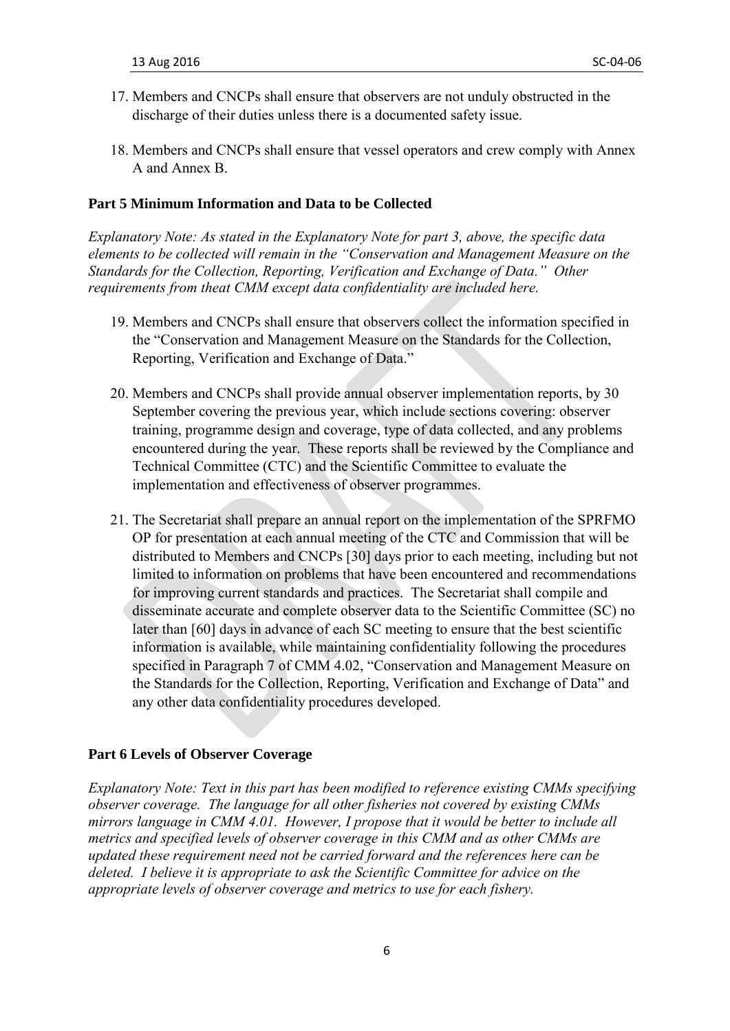- 17. Members and CNCPs shall ensure that observers are not unduly obstructed in the discharge of their duties unless there is a documented safety issue.
- 18. Members and CNCPs shall ensure that vessel operators and crew comply with Annex A and Annex B.

#### **Part 5 Minimum Information and Data to be Collected**

*Explanatory Note: As stated in the Explanatory Note for part 3, above, the specific data elements to be collected will remain in the "Conservation and Management Measure on the Standards for the Collection, Reporting, Verification and Exchange of Data." Other requirements from theat CMM except data confidentiality are included here.*

- 19. Members and CNCPs shall ensure that observers collect the information specified in the "Conservation and Management Measure on the Standards for the Collection, Reporting, Verification and Exchange of Data."
- 20. Members and CNCPs shall provide annual observer implementation reports, by 30 September covering the previous year, which include sections covering: observer training, programme design and coverage, type of data collected, and any problems encountered during the year. These reports shall be reviewed by the Compliance and Technical Committee (CTC) and the Scientific Committee to evaluate the implementation and effectiveness of observer programmes.
- 21. The Secretariat shall prepare an annual report on the implementation of the SPRFMO OP for presentation at each annual meeting of the CTC and Commission that will be distributed to Members and CNCPs [30] days prior to each meeting, including but not limited to information on problems that have been encountered and recommendations for improving current standards and practices. The Secretariat shall compile and disseminate accurate and complete observer data to the Scientific Committee (SC) no later than [60] days in advance of each SC meeting to ensure that the best scientific information is available, while maintaining confidentiality following the procedures specified in Paragraph 7 of CMM 4.02, "Conservation and Management Measure on the Standards for the Collection, Reporting, Verification and Exchange of Data" and any other data confidentiality procedures developed.

#### **Part 6 Levels of Observer Coverage**

*Explanatory Note: Text in this part has been modified to reference existing CMMs specifying observer coverage. The language for all other fisheries not covered by existing CMMs mirrors language in CMM 4.01. However, I propose that it would be better to include all metrics and specified levels of observer coverage in this CMM and as other CMMs are updated these requirement need not be carried forward and the references here can be deleted. I believe it is appropriate to ask the Scientific Committee for advice on the appropriate levels of observer coverage and metrics to use for each fishery.*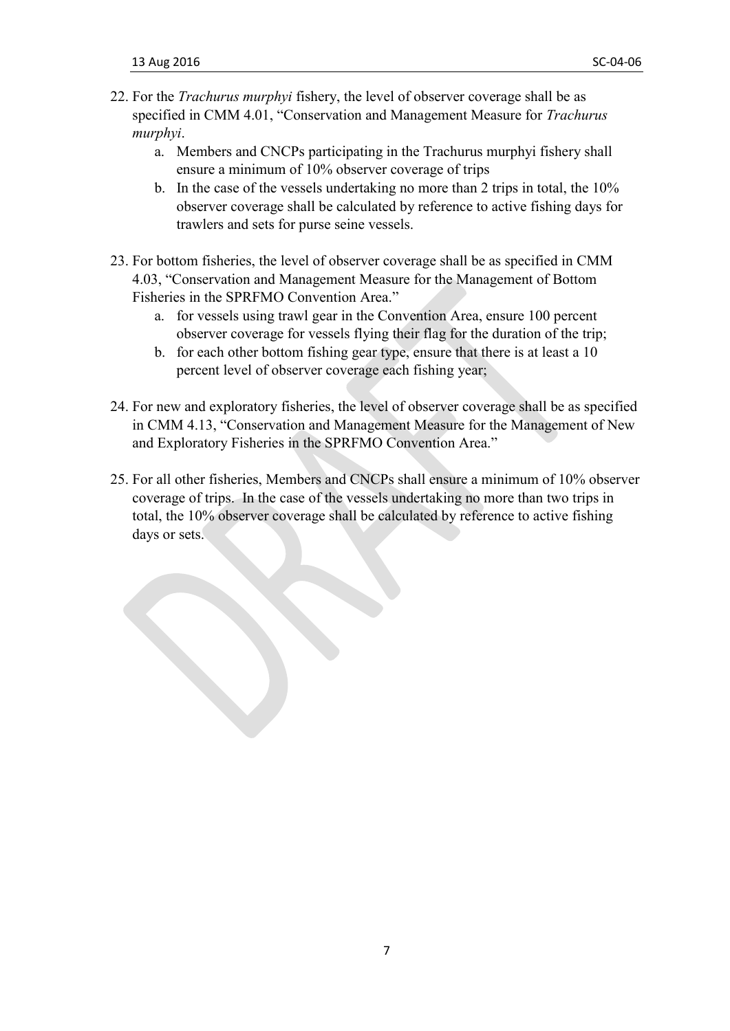- 22. For the *Trachurus murphyi* fishery, the level of observer coverage shall be as specified in CMM 4.01, "Conservation and Management Measure for *Trachurus murphyi*.
	- a. Members and CNCPs participating in the Trachurus murphyi fishery shall ensure a minimum of 10% observer coverage of trips
	- b. In the case of the vessels undertaking no more than 2 trips in total, the 10% observer coverage shall be calculated by reference to active fishing days for trawlers and sets for purse seine vessels.
- 23. For bottom fisheries, the level of observer coverage shall be as specified in CMM 4.03, "Conservation and Management Measure for the Management of Bottom Fisheries in the SPRFMO Convention Area."
	- a. for vessels using trawl gear in the Convention Area, ensure 100 percent observer coverage for vessels flying their flag for the duration of the trip;
	- b. for each other bottom fishing gear type, ensure that there is at least a 10 percent level of observer coverage each fishing year;
- 24. For new and exploratory fisheries, the level of observer coverage shall be as specified in CMM 4.13, "Conservation and Management Measure for the Management of New and Exploratory Fisheries in the SPRFMO Convention Area."
- 25. For all other fisheries, Members and CNCPs shall ensure a minimum of 10% observer coverage of trips. In the case of the vessels undertaking no more than two trips in total, the 10% observer coverage shall be calculated by reference to active fishing days or sets.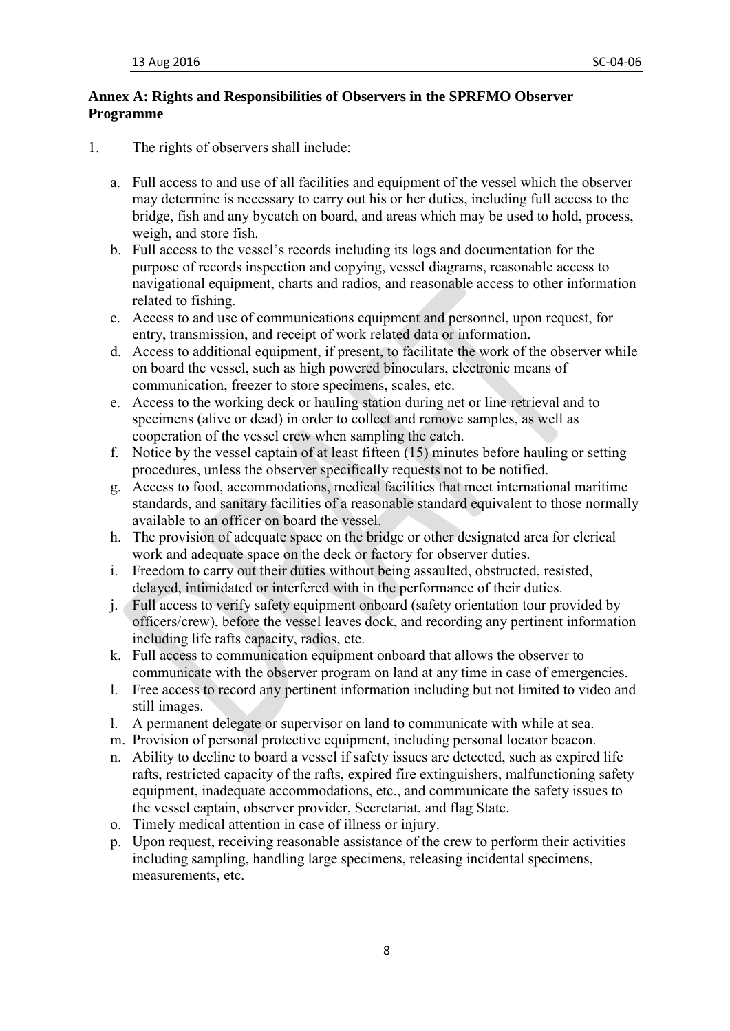## **Annex A: Rights and Responsibilities of Observers in the SPRFMO Observer Programme**

- 1. The rights of observers shall include:
	- a. Full access to and use of all facilities and equipment of the vessel which the observer may determine is necessary to carry out his or her duties, including full access to the bridge, fish and any bycatch on board, and areas which may be used to hold, process, weigh, and store fish.
	- b. Full access to the vessel's records including its logs and documentation for the purpose of records inspection and copying, vessel diagrams, reasonable access to navigational equipment, charts and radios, and reasonable access to other information related to fishing.
	- c. Access to and use of communications equipment and personnel, upon request, for entry, transmission, and receipt of work related data or information.
	- d. Access to additional equipment, if present, to facilitate the work of the observer while on board the vessel, such as high powered binoculars, electronic means of communication, freezer to store specimens, scales, etc.
	- e. Access to the working deck or hauling station during net or line retrieval and to specimens (alive or dead) in order to collect and remove samples, as well as cooperation of the vessel crew when sampling the catch.
	- f. Notice by the vessel captain of at least fifteen (15) minutes before hauling or setting procedures, unless the observer specifically requests not to be notified.
	- g. Access to food, accommodations, medical facilities that meet international maritime standards, and sanitary facilities of a reasonable standard equivalent to those normally available to an officer on board the vessel.
	- h. The provision of adequate space on the bridge or other designated area for clerical work and adequate space on the deck or factory for observer duties.
	- i. Freedom to carry out their duties without being assaulted, obstructed, resisted, delayed, intimidated or interfered with in the performance of their duties.
	- j. Full access to verify safety equipment onboard (safety orientation tour provided by officers/crew), before the vessel leaves dock, and recording any pertinent information including life rafts capacity, radios, etc.
	- k. Full access to communication equipment onboard that allows the observer to communicate with the observer program on land at any time in case of emergencies.
	- l. Free access to record any pertinent information including but not limited to video and still images.
	- l. A permanent delegate or supervisor on land to communicate with while at sea.
	- m. Provision of personal protective equipment, including personal locator beacon.
	- n. Ability to decline to board a vessel if safety issues are detected, such as expired life rafts, restricted capacity of the rafts, expired fire extinguishers, malfunctioning safety equipment, inadequate accommodations, etc., and communicate the safety issues to the vessel captain, observer provider, Secretariat, and flag State.
	- o. Timely medical attention in case of illness or injury.
	- p. Upon request, receiving reasonable assistance of the crew to perform their activities including sampling, handling large specimens, releasing incidental specimens, measurements, etc.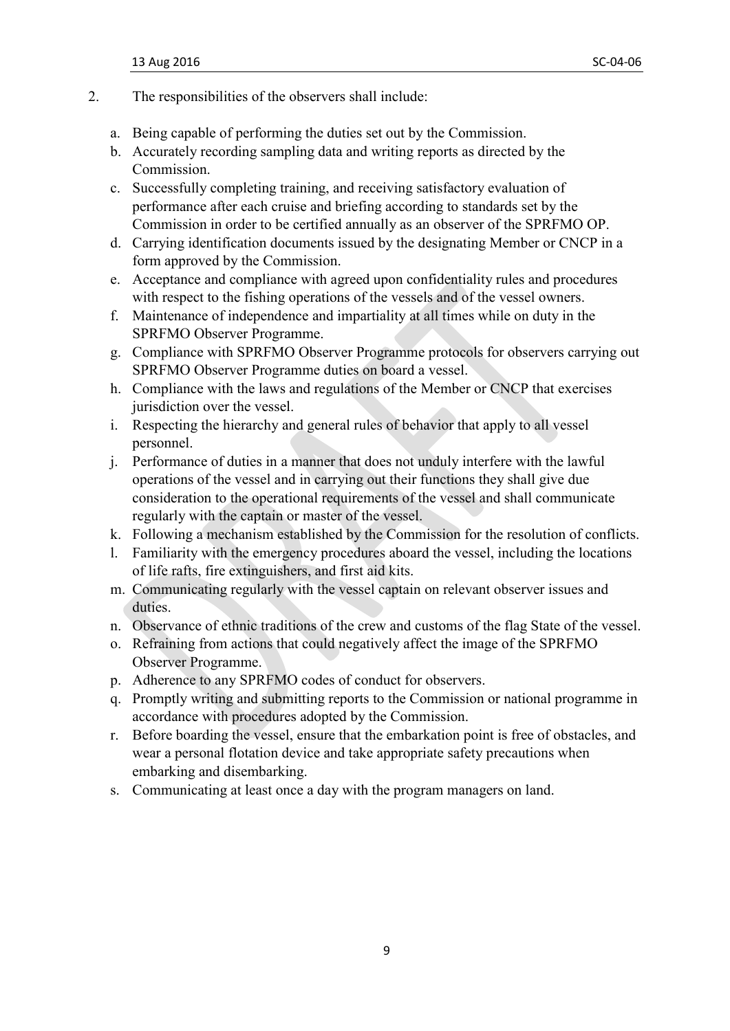- 2. The responsibilities of the observers shall include:
	- a. Being capable of performing the duties set out by the Commission.
	- b. Accurately recording sampling data and writing reports as directed by the Commission.
	- c. Successfully completing training, and receiving satisfactory evaluation of performance after each cruise and briefing according to standards set by the Commission in order to be certified annually as an observer of the SPRFMO OP.
	- d. Carrying identification documents issued by the designating Member or CNCP in a form approved by the Commission.
	- e. Acceptance and compliance with agreed upon confidentiality rules and procedures with respect to the fishing operations of the vessels and of the vessel owners.
	- f. Maintenance of independence and impartiality at all times while on duty in the SPRFMO Observer Programme.
	- g. Compliance with SPRFMO Observer Programme protocols for observers carrying out SPRFMO Observer Programme duties on board a vessel.
	- h. Compliance with the laws and regulations of the Member or CNCP that exercises jurisdiction over the vessel.
	- i. Respecting the hierarchy and general rules of behavior that apply to all vessel personnel.
	- j. Performance of duties in a manner that does not unduly interfere with the lawful operations of the vessel and in carrying out their functions they shall give due consideration to the operational requirements of the vessel and shall communicate regularly with the captain or master of the vessel.
	- k. Following a mechanism established by the Commission for the resolution of conflicts.
	- l. Familiarity with the emergency procedures aboard the vessel, including the locations of life rafts, fire extinguishers, and first aid kits.
	- m. Communicating regularly with the vessel captain on relevant observer issues and duties.
	- n. Observance of ethnic traditions of the crew and customs of the flag State of the vessel.
	- o. Refraining from actions that could negatively affect the image of the SPRFMO Observer Programme.
	- p. Adherence to any SPRFMO codes of conduct for observers.
	- q. Promptly writing and submitting reports to the Commission or national programme in accordance with procedures adopted by the Commission.
	- r. Before boarding the vessel, ensure that the embarkation point is free of obstacles, and wear a personal flotation device and take appropriate safety precautions when embarking and disembarking.
	- s. Communicating at least once a day with the program managers on land.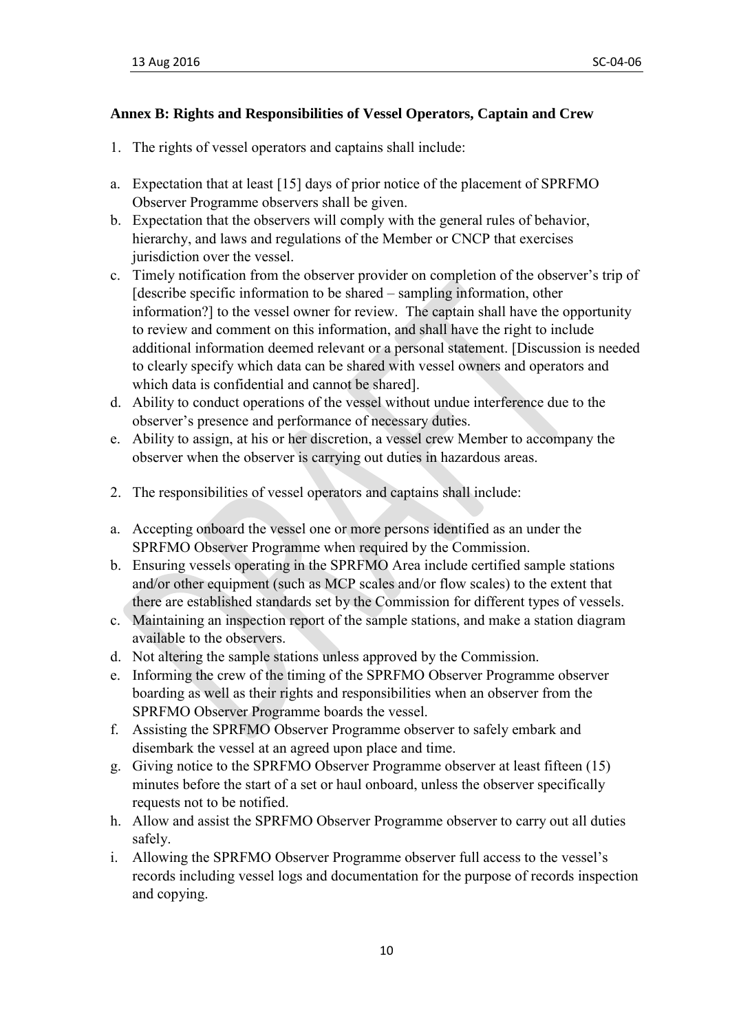#### **Annex B: Rights and Responsibilities of Vessel Operators, Captain and Crew**

- 1. The rights of vessel operators and captains shall include:
- a. Expectation that at least [15] days of prior notice of the placement of SPRFMO Observer Programme observers shall be given.
- b. Expectation that the observers will comply with the general rules of behavior, hierarchy, and laws and regulations of the Member or CNCP that exercises jurisdiction over the vessel.
- c. Timely notification from the observer provider on completion of the observer's trip of [describe specific information to be shared – sampling information, other information?] to the vessel owner for review. The captain shall have the opportunity to review and comment on this information, and shall have the right to include additional information deemed relevant or a personal statement. [Discussion is needed to clearly specify which data can be shared with vessel owners and operators and which data is confidential and cannot be shared].
- d. Ability to conduct operations of the vessel without undue interference due to the observer's presence and performance of necessary duties.
- e. Ability to assign, at his or her discretion, a vessel crew Member to accompany the observer when the observer is carrying out duties in hazardous areas.
- 2. The responsibilities of vessel operators and captains shall include:
- a. Accepting onboard the vessel one or more persons identified as an under the SPRFMO Observer Programme when required by the Commission.
- b. Ensuring vessels operating in the SPRFMO Area include certified sample stations and/or other equipment (such as MCP scales and/or flow scales) to the extent that there are established standards set by the Commission for different types of vessels.
- c. Maintaining an inspection report of the sample stations, and make a station diagram available to the observers.
- d. Not altering the sample stations unless approved by the Commission.
- e. Informing the crew of the timing of the SPRFMO Observer Programme observer boarding as well as their rights and responsibilities when an observer from the SPRFMO Observer Programme boards the vessel.
- f. Assisting the SPRFMO Observer Programme observer to safely embark and disembark the vessel at an agreed upon place and time.
- g. Giving notice to the SPRFMO Observer Programme observer at least fifteen (15) minutes before the start of a set or haul onboard, unless the observer specifically requests not to be notified.
- h. Allow and assist the SPRFMO Observer Programme observer to carry out all duties safely.
- i. Allowing the SPRFMO Observer Programme observer full access to the vessel's records including vessel logs and documentation for the purpose of records inspection and copying.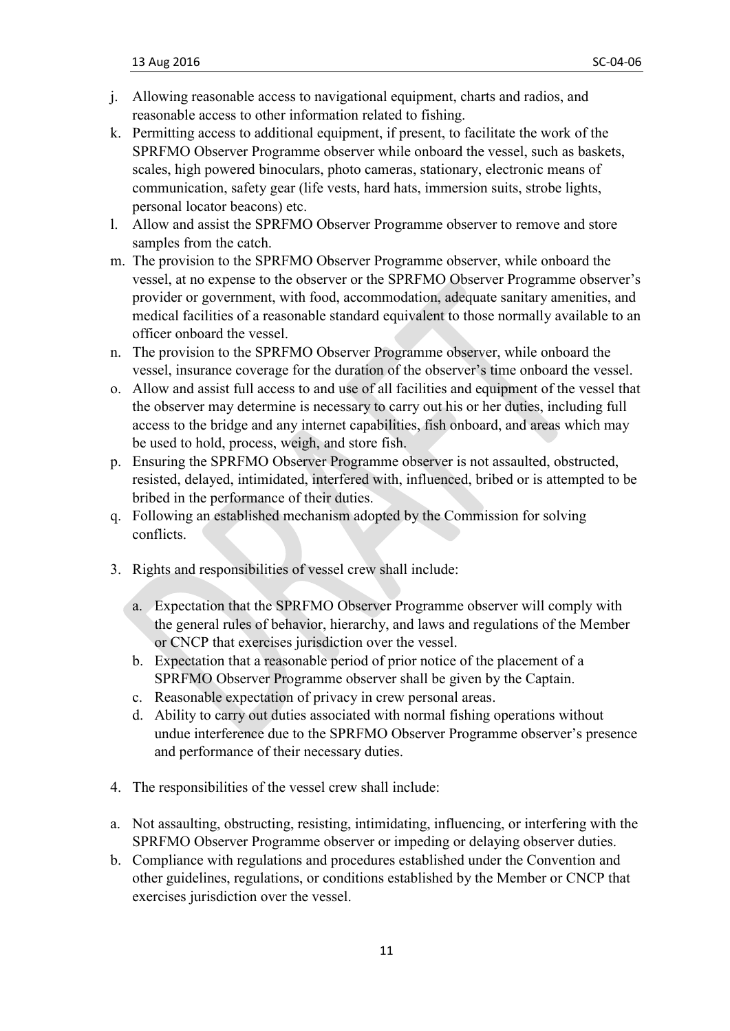- j. Allowing reasonable access to navigational equipment, charts and radios, and reasonable access to other information related to fishing.
- k. Permitting access to additional equipment, if present, to facilitate the work of the SPRFMO Observer Programme observer while onboard the vessel, such as baskets, scales, high powered binoculars, photo cameras, stationary, electronic means of communication, safety gear (life vests, hard hats, immersion suits, strobe lights, personal locator beacons) etc.
- l. Allow and assist the SPRFMO Observer Programme observer to remove and store samples from the catch.
- m. The provision to the SPRFMO Observer Programme observer, while onboard the vessel, at no expense to the observer or the SPRFMO Observer Programme observer's provider or government, with food, accommodation, adequate sanitary amenities, and medical facilities of a reasonable standard equivalent to those normally available to an officer onboard the vessel.
- n. The provision to the SPRFMO Observer Programme observer, while onboard the vessel, insurance coverage for the duration of the observer's time onboard the vessel.
- o. Allow and assist full access to and use of all facilities and equipment of the vessel that the observer may determine is necessary to carry out his or her duties, including full access to the bridge and any internet capabilities, fish onboard, and areas which may be used to hold, process, weigh, and store fish.
- p. Ensuring the SPRFMO Observer Programme observer is not assaulted, obstructed, resisted, delayed, intimidated, interfered with, influenced, bribed or is attempted to be bribed in the performance of their duties.
- q. Following an established mechanism adopted by the Commission for solving conflicts.
- 3. Rights and responsibilities of vessel crew shall include:
	- a. Expectation that the SPRFMO Observer Programme observer will comply with the general rules of behavior, hierarchy, and laws and regulations of the Member or CNCP that exercises jurisdiction over the vessel.
	- b. Expectation that a reasonable period of prior notice of the placement of a SPRFMO Observer Programme observer shall be given by the Captain.
	- c. Reasonable expectation of privacy in crew personal areas.
	- d. Ability to carry out duties associated with normal fishing operations without undue interference due to the SPRFMO Observer Programme observer's presence and performance of their necessary duties.
- 4. The responsibilities of the vessel crew shall include:
- a. Not assaulting, obstructing, resisting, intimidating, influencing, or interfering with the SPRFMO Observer Programme observer or impeding or delaying observer duties.
- b. Compliance with regulations and procedures established under the Convention and other guidelines, regulations, or conditions established by the Member or CNCP that exercises jurisdiction over the vessel.